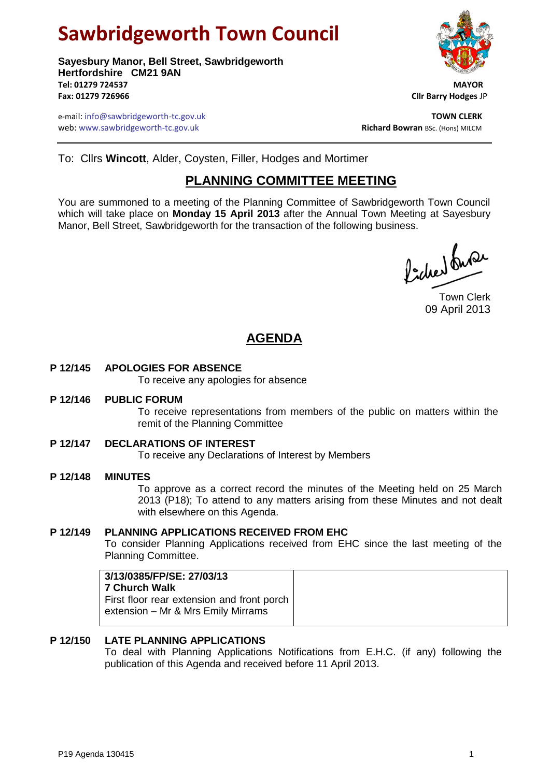# **Sawbridgeworth Town Council**

**Sayesbury Manor, Bell Street, Sawbridgeworth Hertfordshire CM21 9AN Tel: 01279 724537 MAYOR Fax: 01279 726966 Cllr Barry Hodges** JP

e-mail: info@sawbridgeworth-tc.gov.uk **TOWN CLERK** web: www.sawbridgeworth-tc.gov.uk<br> **Richard Bowran** BSc. (Hons) MILCM

To: Cllrs **Wincott**, Alder, Coysten, Filler, Hodges and Mortimer

# **PLANNING COMMITTEE MEETING**

You are summoned to a meeting of the Planning Committee of Sawbridgeworth Town Council which will take place on **Monday 15 April 2013** after the Annual Town Meeting at Sayesbury Manor, Bell Street, Sawbridgeworth for the transaction of the following business.

Picked Super

Town Clerk 09 April 2013

# **AGENDA**

# **P 12/145 APOLOGIES FOR ABSENCE**

To receive any apologies for absence

#### **P 12/146 PUBLIC FORUM**

To receive representations from members of the public on matters within the remit of the Planning Committee

**P 12/147 DECLARATIONS OF INTEREST**

To receive any Declarations of Interest by Members

# **P 12/148 MINUTES**

To approve as a correct record the minutes of the Meeting held on 25 March 2013 (P18); To attend to any matters arising from these Minutes and not dealt with elsewhere on this Agenda.

# **P 12/149 PLANNING APPLICATIONS RECEIVED FROM EHC**

To consider Planning Applications received from EHC since the last meeting of the Planning Committee.

# **P 12/150 LATE PLANNING APPLICATIONS**

To deal with Planning Applications Notifications from E.H.C. (if any) following the publication of this Agenda and received before 11 April 2013.